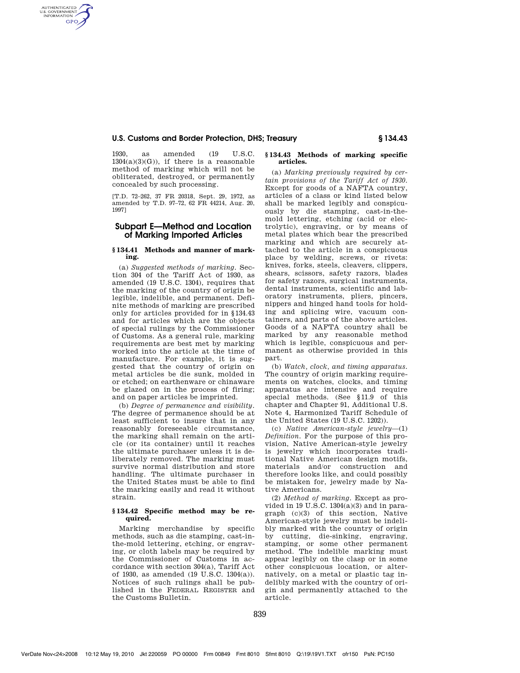# **U.S. Customs and Border Protection, DHS; Treasury § 134.43**

1930, as amended (19 U.S.C.  $1304(a)(3)(G)$ , if there is a reasonable method of marking which will not be obliterated, destroyed, or permanently concealed by such processing.

AUTHENTICATED<br>U.S. GOVERNMENT<br>INFORMATION **GPO** 

> [T.D. 72–262, 37 FR 20318, Sept. 29, 1972, as amended by T.D. 97–72, 62 FR 44214, Aug. 20, 1997]

## **Subpart E—Method and Location of Marking Imported Articles**

### **§ 134.41 Methods and manner of marking.**

(a) *Suggested methods of marking.* Section 304 of the Tariff Act of 1930, as amended (19 U.S.C. 1304), requires that the marking of the country of origin be legible, indelible, and permanent. Definite methods of marking are prescribed only for articles provided for in §134.43 and for articles which are the objects of special rulings by the Commissioner of Customs. As a general rule, marking requirements are best met by marking worked into the article at the time of manufacture. For example, it is suggested that the country of origin on metal articles be die sunk, molded in or etched; on earthenware or chinaware be glazed on in the process of firing; and on paper articles be imprinted.

(b) *Degree of permanence and visibility.*  The degree of permanence should be at least sufficient to insure that in any reasonably foreseeable circumstance, the marking shall remain on the article (or its container) until it reaches the ultimate purchaser unless it is deliberately removed. The marking must survive normal distribution and store handling. The ultimate purchaser in the United States must be able to find the marking easily and read it without strain.

### **§ 134.42 Specific method may be required.**

Marking merchandise by specific methods, such as die stamping, cast-inthe-mold lettering, etching, or engraving, or cloth labels may be required by the Commissioner of Customs in accordance with section 304(a), Tariff Act of 1930, as amended (19 U.S.C. 1304(a)). Notices of such rulings shall be published in the FEDERAL REGISTER and the Customs Bulletin.

### **§ 134.43 Methods of marking specific articles.**

(a) *Marking previously required by certain provisions of the Tariff Act of 1930.*  Except for goods of a NAFTA country, articles of a class or kind listed below shall be marked legibly and conspicuously by die stamping, cast-in-themold lettering, etching (acid or electrolytic), engraving, or by means of metal plates which bear the prescribed marking and which are securely attached to the article in a conspicuous place by welding, screws, or rivets: knives, forks, steels, cleavers, clippers, shears, scissors, safety razors, blades for safety razors, surgical instruments, dental instruments, scientific and laboratory instruments, pliers, pincers, nippers and hinged hand tools for holding and splicing wire, vacuum containers, and parts of the above articles. Goods of a NAFTA country shall be marked by any reasonable method which is legible, conspicuous and permanent as otherwise provided in this part.

(b) *Watch, clock, and timing apparatus.*  The country of origin marking requirements on watches, clocks, and timing apparatus are intensive and require special methods. (See §11.9 of this chapter and Chapter 91, Additional U.S. Note 4, Harmonized Tariff Schedule of the United States (19 U.S.C. 1202)).

(c) *Native American-style jewelry*—(1) *Definition.* For the purpose of this provision, Native American-style jewelry is jewelry which incorporates traditional Native American design motifs, materials and/or construction and therefore looks like, and could possibly be mistaken for, jewelry made by Native Americans.

(2) *Method of marking.* Except as provided in 19 U.S.C.  $1304(a)(3)$  and in paragraph (c)(3) of this section, Native American-style jewelry must be indelibly marked with the country of origin by cutting, die-sinking, engraving, stamping, or some other permanent method. The indelible marking must appear legibly on the clasp or in some other conspicuous location, or alternatively, on a metal or plastic tag indelibly marked with the country of origin and permanently attached to the article.